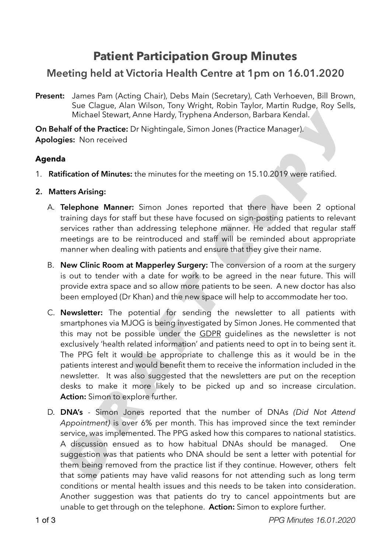# **Patient Participation Group Minutes**

## **Meeting held at Victoria Health Centre at 1pm on 16.01.2020**

Present: James Pam (Acting Chair), Debs Main (Secretary), Cath Verhoeven, Bill Brown, Sue Clague, Alan Wilson, Tony Wright, Robin Taylor, Martin Rudge, Roy Sells, Michael Stewart, Anne Hardy, Tryphena Anderson, Barbara Kendal.

**On Behalf of the Practice:** Dr Nightingale, Simon Jones (Practice Manager). **Apologies:** Non received

### **Agenda**

- 1. **Ratification of Minutes:** the minutes for the meeting on 15.10.2019 were ratified.
- **2. Matters Arising:** 
	- A. **Telephone Manner:** Simon Jones reported that there have been 2 optional training days for staff but these have focused on sign-posting patients to relevant services rather than addressing telephone manner. He added that regular staff meetings are to be reintroduced and staff will be reminded about appropriate manner when dealing with patients and ensure that they give their name.
	- B. **New Clinic Room at Mapperley Surgery:** The conversion of a room at the surgery is out to tender with a date for work to be agreed in the near future. This will provide extra space and so allow more patients to be seen. A new doctor has also been employed (Dr Khan) and the new space will help to accommodate her too.
- C. **Newsletter:** The potential for sending the newsletter to all patients with smartphones via MJOG is being investigated by Simon Jones. He commented that this may not be possible under the GDPR guidelines as the newsletter is not exclusively 'health related information' and patients need to opt in to being sent it. The PPG felt it would be appropriate to challenge this as it would be in the patients interest and would benefit them to receive the information included in the newsletter. It was also suggested that the newsletters are put on the reception desks to make it more likely to be picked up and so increase circulation. **Action:** Simon to explore further. *Michael Stewart, Anne Hardy, Tryphena Anderson, Barbara Kendal.<br> Also Friddie: Dr. Nightingale, Simon Jones (Practice Manager).<br> Les: Non received<br> Eles: Non received<br> Eles: Non received<br> Eles: Non received<br> El* 
	- D. **DNA's** Simon Jones reported that the number of DNAs *(Did Not Attend Appointment)* is over 6% per month. This has improved since the text reminder service, was implemented. The PPG asked how this compares to national statistics. A discussion ensued as to how habitual DNAs should be managed. One suggestion was that patients who DNA should be sent a letter with potential for them being removed from the practice list if they continue. However, others felt that some patients may have valid reasons for not attending such as long term conditions or mental health issues and this needs to be taken into consideration. Another suggestion was that patients do try to cancel appointments but are unable to get through on the telephone. **Action:** Simon to explore further.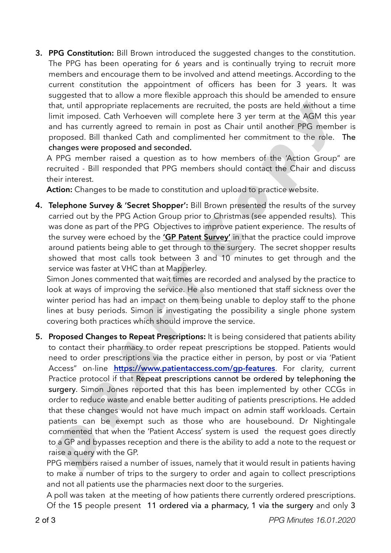**3. PPG Constitution:** Bill Brown introduced the suggested changes to the constitution. The PPG has been operating for 6 years and is continually trying to recruit more members and encourage them to be involved and attend meetings. According to the current constitution the appointment of officers has been for 3 years. It was suggested that to allow a more flexible approach this should be amended to ensure that, until appropriate replacements are recruited, the posts are held without a time limit imposed. Cath Verhoeven will complete here 3 yer term at the AGM this year and has currently agreed to remain in post as Chair until another PPG member is proposed. Bill thanked Cath and complimented her commitment to the role. The changes were proposed and seconded.

A PPG member raised a question as to how members of the 'Action Group" are recruited - Bill responded that PPG members should contact the Chair and discuss their interest.

**Action:** Changes to be made to constitution and upload to practice website.

**4. Telephone Survey & 'Secret Shopper':** Bill Brown presented the results of the survey carried out by the PPG Action Group prior to Christmas (see appended results). This was done as part of the PPG Objectives to improve patient experience. The results of the survey were echoed by the **'GP Patent Survey'** in that the practice could improve around patients being able to get through to the surgery. The secret shopper results showed that most calls took between 3 and 10 minutes to get through and the service was faster at VHC than at Mapperley.

Simon Jones commented that wait times are recorded and analysed by the practice to look at ways of improving the service. He also mentioned that staff sickness over the winter period has had an impact on them being unable to deploy staff to the phone lines at busy periods. Simon is investigating the possibility a single phone system covering both practices which should improve the service.

**5. Proposed Changes to Repeat Prescriptions:** It is being considered that patients ability to contact their pharmacy to order repeat prescriptions be stopped. Patients would need to order prescriptions via the practice either in person, by post or via 'Patient Access" on-line **https://www.patientaccess.com/gp-features**. For clarity, current Practice protocol if that Repeat prescriptions cannot be ordered by telephoning the surgery. Simon Jones reported that this has been implemented by other CCGs in order to reduce waste and enable better auditing of patients prescriptions. He added that these changes would not have much impact on admin staff workloads. Certain patients can be exempt such as those who are housebound. Dr Nightingale commented that when the 'Patient Access' system is used the request goes directly to a GP and bypasses reception and there is the ability to add a note to the request or raise a query with the GP. hat, until appropriate replacements are recruited, the posts are held without a<br>mit imposed. Cath Verhoever will complete here 3 yer term at the [A](https://www.patientaccess.com/gp-features)GM his<br>corrently agreed to remain in post as [C](https://www.gp-patient.co.uk/report?practicecode=C84085)hair until another PPG memb<br>n

PPG members raised a number of issues, namely that it would result in patients having to make a number of trips to the surgery to order and again to collect prescriptions and not all patients use the pharmacies next door to the surgeries.

A poll was taken at the meeting of how patients there currently ordered prescriptions. Of the 15 people present 11 ordered via a pharmacy, 1 via the surgery and only 3